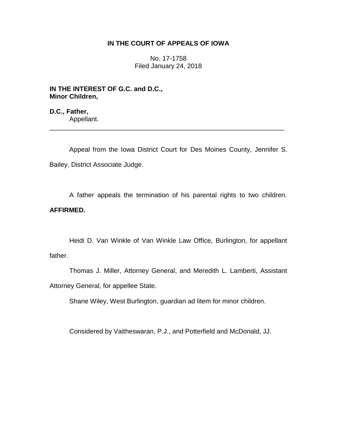# **IN THE COURT OF APPEALS OF IOWA**

No. 17-1758 Filed January 24, 2018

**IN THE INTEREST OF G.C. and D.C., Minor Children,**

**D.C., Father,** Appellant.

Appeal from the Iowa District Court for Des Moines County, Jennifer S. Bailey, District Associate Judge.

\_\_\_\_\_\_\_\_\_\_\_\_\_\_\_\_\_\_\_\_\_\_\_\_\_\_\_\_\_\_\_\_\_\_\_\_\_\_\_\_\_\_\_\_\_\_\_\_\_\_\_\_\_\_\_\_\_\_\_\_\_\_\_\_

A father appeals the termination of his parental rights to two children. **AFFIRMED.**

Heidi D. Van Winkle of Van Winkle Law Office, Burlington, for appellant father.

Thomas J. Miller, Attorney General, and Meredith L. Lamberti, Assistant Attorney General, for appellee State.

Shane Wiley, West Burlington, guardian ad litem for minor children.

Considered by Vaitheswaran, P.J., and Potterfield and McDonald, JJ.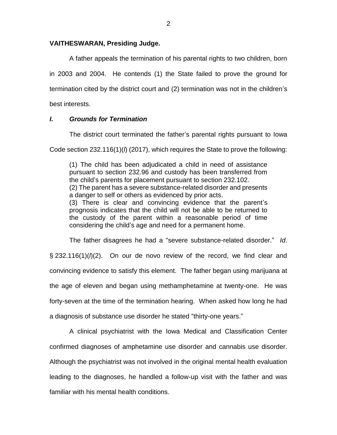### **VAITHESWARAN, Presiding Judge.**

A father appeals the termination of his parental rights to two children, born in 2003 and 2004. He contends (1) the State failed to prove the ground for termination cited by the district court and (2) termination was not in the children's best interests.

## *I. Grounds for Termination*

The district court terminated the father's parental rights pursuant to Iowa

Code section 232.116(1)(*l*) (2017), which requires the State to prove the following:

(1) The child has been adjudicated a child in need of assistance pursuant to section 232.96 and custody has been transferred from the child's parents for placement pursuant to section 232.102. (2) The parent has a severe substance-related disorder and presents a danger to self or others as evidenced by prior acts. (3) There is clear and convincing evidence that the parent's prognosis indicates that the child will not be able to be returned to the custody of the parent within a reasonable period of time considering the child's age and need for a permanent home.

The father disagrees he had a "severe substance-related disorder." *Id*. § 232.116(1)( $\ell$ ). On our de novo review of the record, we find clear and convincing evidence to satisfy this element. The father began using marijuana at the age of eleven and began using methamphetamine at twenty-one. He was forty-seven at the time of the termination hearing. When asked how long he had a diagnosis of substance use disorder he stated "thirty-one years."

A clinical psychiatrist with the Iowa Medical and Classification Center confirmed diagnoses of amphetamine use disorder and cannabis use disorder. Although the psychiatrist was not involved in the original mental health evaluation leading to the diagnoses, he handled a follow-up visit with the father and was familiar with his mental health conditions.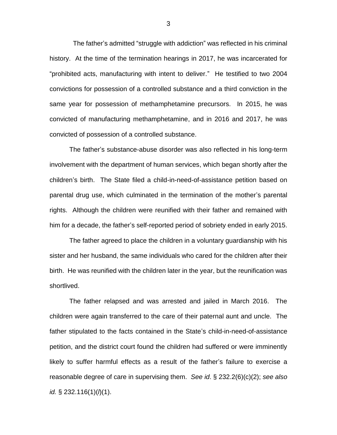The father's admitted "struggle with addiction" was reflected in his criminal history. At the time of the termination hearings in 2017, he was incarcerated for "prohibited acts, manufacturing with intent to deliver." He testified to two 2004 convictions for possession of a controlled substance and a third conviction in the same year for possession of methamphetamine precursors. In 2015, he was convicted of manufacturing methamphetamine, and in 2016 and 2017, he was convicted of possession of a controlled substance.

The father's substance-abuse disorder was also reflected in his long-term involvement with the department of human services, which began shortly after the children's birth. The State filed a child-in-need-of-assistance petition based on parental drug use, which culminated in the termination of the mother's parental rights. Although the children were reunified with their father and remained with him for a decade, the father's self-reported period of sobriety ended in early 2015.

The father agreed to place the children in a voluntary guardianship with his sister and her husband, the same individuals who cared for the children after their birth. He was reunified with the children later in the year, but the reunification was shortlived.

The father relapsed and was arrested and jailed in March 2016. The children were again transferred to the care of their paternal aunt and uncle. The father stipulated to the facts contained in the State's child-in-need-of-assistance petition, and the district court found the children had suffered or were imminently likely to suffer harmful effects as a result of the father's failure to exercise a reasonable degree of care in supervising them. *See id*. § 232.2(6)(c)(2); *see also id.* § 232.116(1)(*l*)(1).

3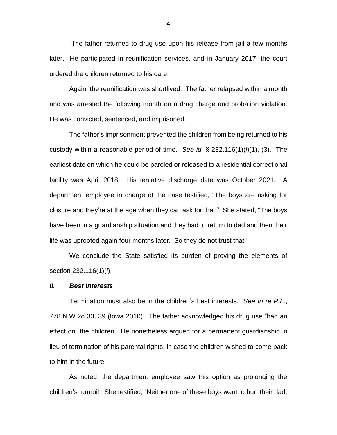The father returned to drug use upon his release from jail a few months later. He participated in reunification services, and in January 2017, the court ordered the children returned to his care.

Again, the reunification was shortlived. The father relapsed within a month and was arrested the following month on a drug charge and probation violation. He was convicted, sentenced, and imprisoned.

The father's imprisonment prevented the children from being returned to his custody within a reasonable period of time. *See id.* § 232.116(1)(*l*)(1), (3). The earliest date on which he could be paroled or released to a residential correctional facility was April 2018. His tentative discharge date was October 2021. A department employee in charge of the case testified, "The boys are asking for closure and they're at the age when they can ask for that." She stated, "The boys have been in a guardianship situation and they had to return to dad and then their life was uprooted again four months later. So they do not trust that."

We conclude the State satisfied its burden of proving the elements of section 232.116(1)(*l*).

#### *II. Best Interests*

Termination must also be in the children's best interests. *See In re P.L.*, 778 N.W.2d 33, 39 (Iowa 2010). The father acknowledged his drug use "had an effect on" the children. He nonetheless argued for a permanent guardianship in lieu of termination of his parental rights, in case the children wished to come back to him in the future.

As noted, the department employee saw this option as prolonging the children's turmoil. She testified, "Neither one of these boys want to hurt their dad,

4